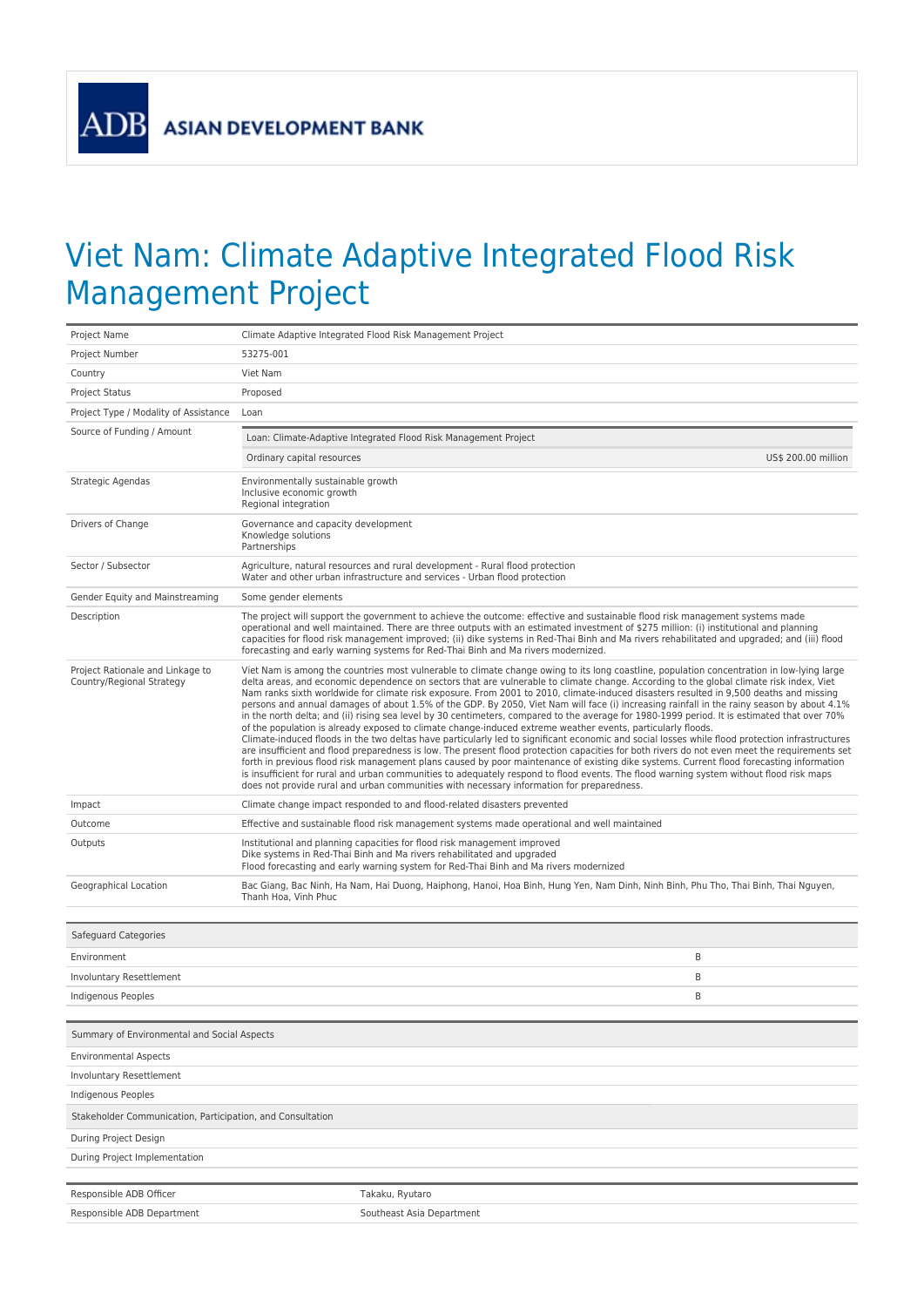**ADB** 

## Viet Nam: Climate Adaptive Integrated Flood Risk Management Project

| Project Name                                                  | Climate Adaptive Integrated Flood Risk Management Project                                                                                                                                                                                                                                                                                                                                                                                                                                                                                                                                                                                                                                                                                                                                                                                                                                                                                                                                                                                                                                                                                                                                                                                                                                                                                                                                                                                                                                                                            |  |
|---------------------------------------------------------------|--------------------------------------------------------------------------------------------------------------------------------------------------------------------------------------------------------------------------------------------------------------------------------------------------------------------------------------------------------------------------------------------------------------------------------------------------------------------------------------------------------------------------------------------------------------------------------------------------------------------------------------------------------------------------------------------------------------------------------------------------------------------------------------------------------------------------------------------------------------------------------------------------------------------------------------------------------------------------------------------------------------------------------------------------------------------------------------------------------------------------------------------------------------------------------------------------------------------------------------------------------------------------------------------------------------------------------------------------------------------------------------------------------------------------------------------------------------------------------------------------------------------------------------|--|
| Project Number                                                | 53275-001                                                                                                                                                                                                                                                                                                                                                                                                                                                                                                                                                                                                                                                                                                                                                                                                                                                                                                                                                                                                                                                                                                                                                                                                                                                                                                                                                                                                                                                                                                                            |  |
| Country                                                       | Viet Nam                                                                                                                                                                                                                                                                                                                                                                                                                                                                                                                                                                                                                                                                                                                                                                                                                                                                                                                                                                                                                                                                                                                                                                                                                                                                                                                                                                                                                                                                                                                             |  |
| <b>Project Status</b>                                         | Proposed                                                                                                                                                                                                                                                                                                                                                                                                                                                                                                                                                                                                                                                                                                                                                                                                                                                                                                                                                                                                                                                                                                                                                                                                                                                                                                                                                                                                                                                                                                                             |  |
| Project Type / Modality of Assistance                         | Loan                                                                                                                                                                                                                                                                                                                                                                                                                                                                                                                                                                                                                                                                                                                                                                                                                                                                                                                                                                                                                                                                                                                                                                                                                                                                                                                                                                                                                                                                                                                                 |  |
| Source of Funding / Amount                                    | Loan: Climate-Adaptive Integrated Flood Risk Management Project                                                                                                                                                                                                                                                                                                                                                                                                                                                                                                                                                                                                                                                                                                                                                                                                                                                                                                                                                                                                                                                                                                                                                                                                                                                                                                                                                                                                                                                                      |  |
|                                                               | Ordinary capital resources<br>US\$ 200.00 million                                                                                                                                                                                                                                                                                                                                                                                                                                                                                                                                                                                                                                                                                                                                                                                                                                                                                                                                                                                                                                                                                                                                                                                                                                                                                                                                                                                                                                                                                    |  |
| Strategic Agendas                                             | Environmentally sustainable growth<br>Inclusive economic growth<br>Regional integration                                                                                                                                                                                                                                                                                                                                                                                                                                                                                                                                                                                                                                                                                                                                                                                                                                                                                                                                                                                                                                                                                                                                                                                                                                                                                                                                                                                                                                              |  |
| Drivers of Change                                             | Governance and capacity development<br>Knowledge solutions<br>Partnerships                                                                                                                                                                                                                                                                                                                                                                                                                                                                                                                                                                                                                                                                                                                                                                                                                                                                                                                                                                                                                                                                                                                                                                                                                                                                                                                                                                                                                                                           |  |
| Sector / Subsector                                            | Agriculture, natural resources and rural development - Rural flood protection<br>Water and other urban infrastructure and services - Urban flood protection                                                                                                                                                                                                                                                                                                                                                                                                                                                                                                                                                                                                                                                                                                                                                                                                                                                                                                                                                                                                                                                                                                                                                                                                                                                                                                                                                                          |  |
| Gender Equity and Mainstreaming                               | Some gender elements                                                                                                                                                                                                                                                                                                                                                                                                                                                                                                                                                                                                                                                                                                                                                                                                                                                                                                                                                                                                                                                                                                                                                                                                                                                                                                                                                                                                                                                                                                                 |  |
| Description                                                   | The project will support the government to achieve the outcome: effective and sustainable flood risk management systems made<br>operational and well maintained. There are three outputs with an estimated investment of \$275 million: (i) institutional and planning<br>capacities for flood risk management improved; (ii) dike systems in Red-Thai Binh and Ma rivers rehabilitated and upgraded; and (iii) flood<br>forecasting and early warning systems for Red-Thai Binh and Ma rivers modernized.                                                                                                                                                                                                                                                                                                                                                                                                                                                                                                                                                                                                                                                                                                                                                                                                                                                                                                                                                                                                                           |  |
| Project Rationale and Linkage to<br>Country/Regional Strategy | Viet Nam is among the countries most vulnerable to climate change owing to its long coastline, population concentration in low-lying large<br>delta areas, and economic dependence on sectors that are vulnerable to climate change. According to the global climate risk index, Viet<br>Nam ranks sixth worldwide for climate risk exposure. From 2001 to 2010, climate-induced disasters resulted in 9,500 deaths and missing<br>persons and annual damages of about 1.5% of the GDP. By 2050, Viet Nam will face (i) increasing rainfall in the rainy season by about 4.1%<br>in the north delta; and (ii) rising sea level by 30 centimeters, compared to the average for 1980-1999 period. It is estimated that over 70%<br>of the population is already exposed to climate change-induced extreme weather events, particularly floods.<br>Climate-induced floods in the two deltas have particularly led to significant economic and social losses while flood protection infrastructures<br>are insufficient and flood preparedness is low. The present flood protection capacities for both rivers do not even meet the requirements set<br>forth in previous flood risk management plans caused by poor maintenance of existing dike systems. Current flood forecasting information<br>is insufficient for rural and urban communities to adequately respond to flood events. The flood warning system without flood risk maps<br>does not provide rural and urban communities with necessary information for preparedness. |  |
| Impact                                                        | Climate change impact responded to and flood-related disasters prevented                                                                                                                                                                                                                                                                                                                                                                                                                                                                                                                                                                                                                                                                                                                                                                                                                                                                                                                                                                                                                                                                                                                                                                                                                                                                                                                                                                                                                                                             |  |
| Outcome                                                       | Effective and sustainable flood risk management systems made operational and well maintained                                                                                                                                                                                                                                                                                                                                                                                                                                                                                                                                                                                                                                                                                                                                                                                                                                                                                                                                                                                                                                                                                                                                                                                                                                                                                                                                                                                                                                         |  |
| Outputs                                                       | Institutional and planning capacities for flood risk management improved<br>Dike systems in Red-Thai Binh and Ma rivers rehabilitated and upgraded<br>Flood forecasting and early warning system for Red-Thai Binh and Ma rivers modernized                                                                                                                                                                                                                                                                                                                                                                                                                                                                                                                                                                                                                                                                                                                                                                                                                                                                                                                                                                                                                                                                                                                                                                                                                                                                                          |  |
| Geographical Location                                         | Bac Giang, Bac Ninh, Ha Nam, Hai Duong, Haiphong, Hanoi, Hoa Binh, Hung Yen, Nam Dinh, Ninh Binh, Phu Tho, Thai Binh, Thai Nguyen,<br>Thanh Hoa, Vinh Phuc                                                                                                                                                                                                                                                                                                                                                                                                                                                                                                                                                                                                                                                                                                                                                                                                                                                                                                                                                                                                                                                                                                                                                                                                                                                                                                                                                                           |  |
|                                                               |                                                                                                                                                                                                                                                                                                                                                                                                                                                                                                                                                                                                                                                                                                                                                                                                                                                                                                                                                                                                                                                                                                                                                                                                                                                                                                                                                                                                                                                                                                                                      |  |
| Safeguard Categories                                          |                                                                                                                                                                                                                                                                                                                                                                                                                                                                                                                                                                                                                                                                                                                                                                                                                                                                                                                                                                                                                                                                                                                                                                                                                                                                                                                                                                                                                                                                                                                                      |  |
| Environment                                                   | B                                                                                                                                                                                                                                                                                                                                                                                                                                                                                                                                                                                                                                                                                                                                                                                                                                                                                                                                                                                                                                                                                                                                                                                                                                                                                                                                                                                                                                                                                                                                    |  |
| Involuntary Resettlement                                      | B                                                                                                                                                                                                                                                                                                                                                                                                                                                                                                                                                                                                                                                                                                                                                                                                                                                                                                                                                                                                                                                                                                                                                                                                                                                                                                                                                                                                                                                                                                                                    |  |
| Indigenous Peoples                                            | B                                                                                                                                                                                                                                                                                                                                                                                                                                                                                                                                                                                                                                                                                                                                                                                                                                                                                                                                                                                                                                                                                                                                                                                                                                                                                                                                                                                                                                                                                                                                    |  |
| Summary of Environmental and Social Aspects                   |                                                                                                                                                                                                                                                                                                                                                                                                                                                                                                                                                                                                                                                                                                                                                                                                                                                                                                                                                                                                                                                                                                                                                                                                                                                                                                                                                                                                                                                                                                                                      |  |
| <b>Environmental Aspects</b>                                  |                                                                                                                                                                                                                                                                                                                                                                                                                                                                                                                                                                                                                                                                                                                                                                                                                                                                                                                                                                                                                                                                                                                                                                                                                                                                                                                                                                                                                                                                                                                                      |  |
| <b>Involuntary Resettlement</b>                               |                                                                                                                                                                                                                                                                                                                                                                                                                                                                                                                                                                                                                                                                                                                                                                                                                                                                                                                                                                                                                                                                                                                                                                                                                                                                                                                                                                                                                                                                                                                                      |  |
| Indigenous Peoples                                            |                                                                                                                                                                                                                                                                                                                                                                                                                                                                                                                                                                                                                                                                                                                                                                                                                                                                                                                                                                                                                                                                                                                                                                                                                                                                                                                                                                                                                                                                                                                                      |  |
| Stakeholder Communication, Participation, and Consultation    |                                                                                                                                                                                                                                                                                                                                                                                                                                                                                                                                                                                                                                                                                                                                                                                                                                                                                                                                                                                                                                                                                                                                                                                                                                                                                                                                                                                                                                                                                                                                      |  |
| During Project Design                                         |                                                                                                                                                                                                                                                                                                                                                                                                                                                                                                                                                                                                                                                                                                                                                                                                                                                                                                                                                                                                                                                                                                                                                                                                                                                                                                                                                                                                                                                                                                                                      |  |
| During Project Implementation                                 |                                                                                                                                                                                                                                                                                                                                                                                                                                                                                                                                                                                                                                                                                                                                                                                                                                                                                                                                                                                                                                                                                                                                                                                                                                                                                                                                                                                                                                                                                                                                      |  |
| Responsible ADB Officer                                       | Takaku, Ryutaro                                                                                                                                                                                                                                                                                                                                                                                                                                                                                                                                                                                                                                                                                                                                                                                                                                                                                                                                                                                                                                                                                                                                                                                                                                                                                                                                                                                                                                                                                                                      |  |
| Responsible ADB Department                                    | Southeast Asia Department                                                                                                                                                                                                                                                                                                                                                                                                                                                                                                                                                                                                                                                                                                                                                                                                                                                                                                                                                                                                                                                                                                                                                                                                                                                                                                                                                                                                                                                                                                            |  |
|                                                               |                                                                                                                                                                                                                                                                                                                                                                                                                                                                                                                                                                                                                                                                                                                                                                                                                                                                                                                                                                                                                                                                                                                                                                                                                                                                                                                                                                                                                                                                                                                                      |  |